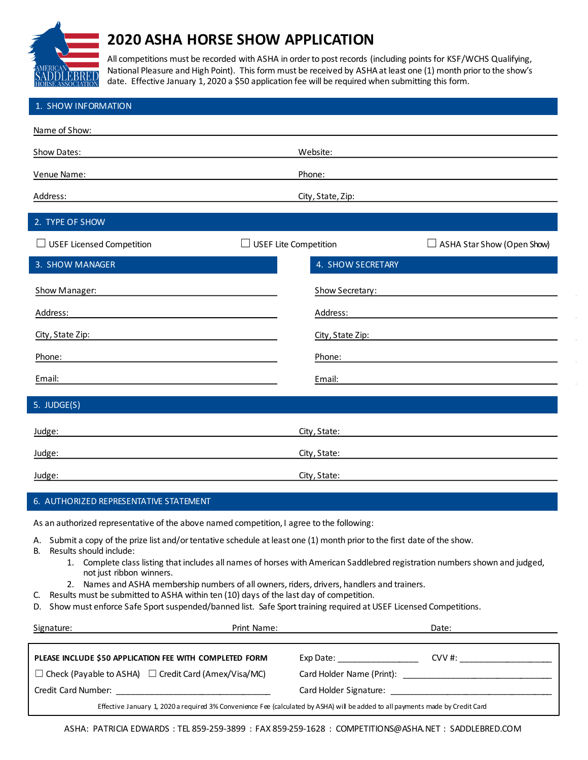

## **2020 ASHA HORSE SHOW APPLICATION**

All competitions must be recorded with ASHA in order to post records (including points for KSF/WCHS Qualifying, National Pleasure and High Point). This form must be received by ASHA at least one (1) month prior to the show's date. Effective January 1, 2020 a \$50 application fee will be required when submitting this form.

| 1. SHOW INFORMATION                                                                                                                                                                         |                                                                   |  |
|---------------------------------------------------------------------------------------------------------------------------------------------------------------------------------------------|-------------------------------------------------------------------|--|
| Name of Show:                                                                                                                                                                               |                                                                   |  |
| Show Dates:                                                                                                                                                                                 | Website:                                                          |  |
| Venue Name:                                                                                                                                                                                 | Phone:                                                            |  |
| Address:                                                                                                                                                                                    | City, State, Zip:                                                 |  |
| 2. TYPE OF SHOW                                                                                                                                                                             |                                                                   |  |
| $\Box$ USEF Licensed Competition                                                                                                                                                            | <b>USEF Lite Competition</b><br>$\Box$ ASHA Star Show (Open Show) |  |
| 3. SHOW MANAGER                                                                                                                                                                             | 4. SHOW SECRETARY                                                 |  |
| Show Manager:                                                                                                                                                                               | Show Secretary:                                                   |  |
| Address:                                                                                                                                                                                    | Address:                                                          |  |
| City, State Zip:                                                                                                                                                                            | City, State Zip:                                                  |  |
| Phone:                                                                                                                                                                                      | Phone:                                                            |  |
| Email:                                                                                                                                                                                      | Email:                                                            |  |
| 5. JUDGE(S)                                                                                                                                                                                 |                                                                   |  |
| Judge:                                                                                                                                                                                      | City, State:                                                      |  |
| Judge:                                                                                                                                                                                      | City, State:                                                      |  |
| Judge:                                                                                                                                                                                      | City, State:                                                      |  |
| 6. AUTHORIZED REPRESENTATIVE STATEMENT                                                                                                                                                      |                                                                   |  |
| As an authorized representative of the above named competition, I agree to the following:                                                                                                   |                                                                   |  |
| Submit a copy of the prize list and/or tentative schedule at least one (1) month prior to the first date of the show.<br>А.                                                                 |                                                                   |  |
| Results should include:<br>В.<br>1. Complete class listing that includes all names of horses with American Saddlebred registration numbers shown and judged,<br>not just ribbon winners.    |                                                                   |  |
| 2. Names and ASHA membership numbers of all owners, riders, drivers, handlers and trainers.<br>Results must be submitted to ASHA within ten (10) days of the last day of competition.<br>C. |                                                                   |  |
| D. Show must enforce Safe Sport suspended/banned list. Safe Sport training required at USEF Licensed Competitions.                                                                          |                                                                   |  |
| Signature:                                                                                                                                                                                  | Print Name:<br>Date:                                              |  |
|                                                                                                                                                                                             |                                                                   |  |

| PLEASE INCLUDE \$50 APPLICATION FEE WITH COMPLETED FORM                                                                        | CVV #:<br>Exp Date:       |  |
|--------------------------------------------------------------------------------------------------------------------------------|---------------------------|--|
| $\Box$ Check (Payable to ASHA) $\Box$ Credit Card (Amex/Visa/MC)                                                               | Card Holder Name (Print): |  |
| Credit Card Number:                                                                                                            | Card Holder Signature:    |  |
| Effective January 1, 2020 a required 3% Convenience Fee (calculated by ASHA) will be added to all payments made by Credit Card |                           |  |

ASHA: PATRICIA EDWARDS : TEL 859-259-3899 : FAX 859-259-1628 : COMPETITIONS@ASHA.NET : SADDLEBRED.COM